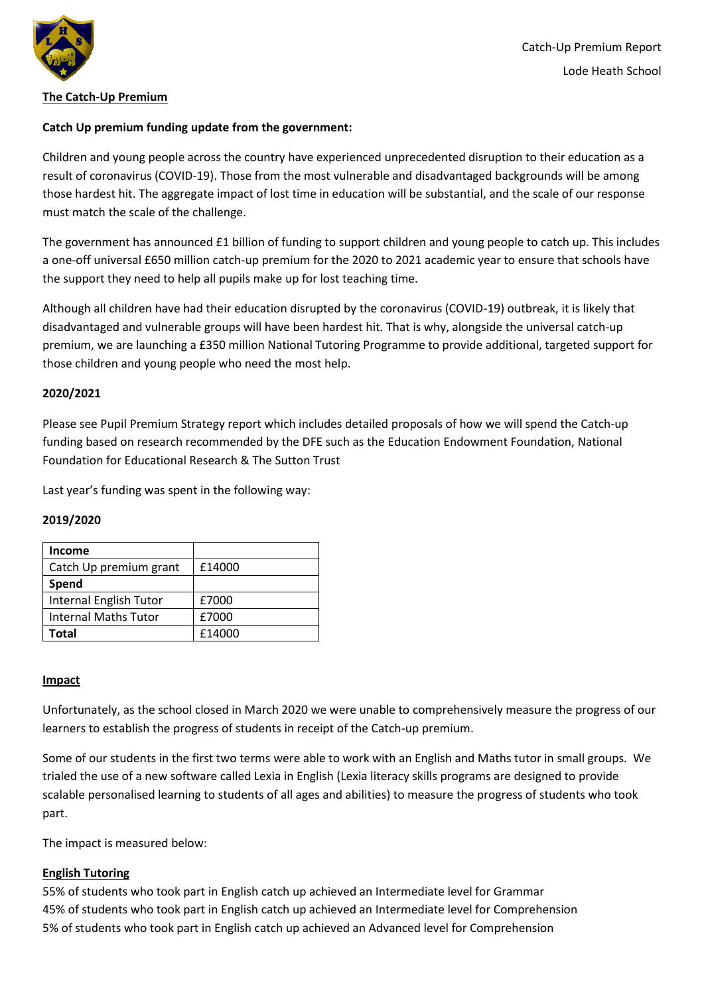

### **The Catch-Up Premium**

# **Catch Up premium funding update from the government:**

Children and young people across the country have experienced unprecedented disruption to their education as a result of coronavirus (COVID-19). Those from the most vulnerable and disadvantaged backgrounds will be among those hardest hit. The aggregate impact of lost time in education will be substantial, and the scale of our response must match the scale of the challenge.

The government has announced £1 billion of funding to support children and young people to catch up. This includes a one-off universal £650 million catch-up premium for the 2020 to 2021 academic year to ensure that schools have the support they need to help all pupils make up for lost teaching time.

Although all children have had their education disrupted by the coronavirus (COVID-19) outbreak, it is likely that disadvantaged and vulnerable groups will have been hardest hit. That is why, alongside the universal catch-up premium, we are launching a £350 million National Tutoring Programme to provide additional, targeted support for those children and young people who need the most help.

#### **2020/2021**

Please see Pupil Premium Strategy report which includes detailed proposals of how we will spend the Catch-up funding based on research recommended by the DFE such as the Education Endowment Foundation, National Foundation for Educational Research & The Sutton Trust

Last year's funding was spent in the following way:

#### **2019/2020**

| <b>Income</b>               |        |
|-----------------------------|--------|
| Catch Up premium grant      | £14000 |
| Spend                       |        |
| Internal English Tutor      | £7000  |
| <b>Internal Maths Tutor</b> | £7000  |
| Total                       | £14000 |

#### **Impact**

Unfortunately, as the school closed in March 2020 we were unable to comprehensively measure the progress of our learners to establish the progress of students in receipt of the Catch-up premium.

Some of our students in the first two terms were able to work with an English and Maths tutor in small groups. We trialed the use of a new software called Lexia in English (Lexia literacy skills programs are designed to provide scalable personalised learning to students of all ages and abilities) to measure the progress of students who took part.

The impact is measured below:

# **English Tutoring**

55% of students who took part in English catch up achieved an Intermediate level for Grammar 45% of students who took part in English catch up achieved an Intermediate level for Comprehension 5% of students who took part in English catch up achieved an Advanced level for Comprehension